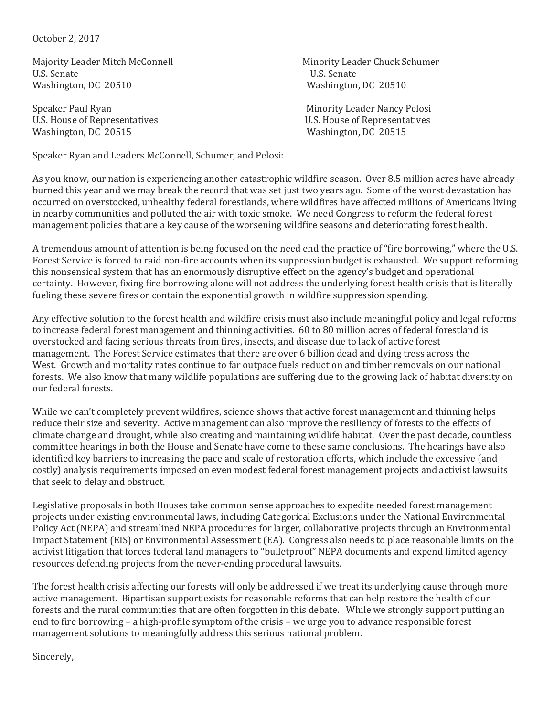October 2, 2017

Majority Leader Mitch McConnell **Minority Leader Chuck Schumer** Minority Leader Chuck Schumer U.S. Senate U.S. Senate Washington, DC 20510 Washington, DC 20510

Speaker Paul Ryan Minority Leader Nancy Pelosi U.S. House of Representatives U.S. House of Representatives Washington, DC 20515 Washington, DC 20515

Speaker Ryan and Leaders McConnell, Schumer, and Pelosi:

As you know, our nation is experiencing another catastrophic wildfire season. Over 8.5 million acres have already burned this year and we may break the record that was set just two years ago. Some of the worst devastation has occurred on overstocked, unhealthy federal forestlands, where wildfires have affected millions of Americans living in nearby communities and polluted the air with toxic smoke. We need Congress to reform the federal forest management policies that are a key cause of the worsening wildfire seasons and deteriorating forest health.

A tremendous amount of attention is being focused on the need end the practice of "fire borrowing," where the U.S. Forest Service is forced to raid non-fire accounts when its suppression budget is exhausted. We support reforming this nonsensical system that has an enormously disruptive effect on the agency's budget and operational certainty. However, fixing fire borrowing alone will not address the underlying forest health crisis that is literally fueling these severe fires or contain the exponential growth in wildfire suppression spending.

Any effective solution to the forest health and wildfire crisis must also include meaningful policy and legal reforms to increase federal forest management and thinning activities. 60 to 80 million acres of federal forestland is overstocked and facing serious threats from fires, insects, and disease due to lack of active forest management. The Forest Service estimates that there are over 6 billion dead and dying tress across the West. Growth and mortality rates continue to far outpace fuels reduction and timber removals on our national forests. We also know that many wildlife populations are suffering due to the growing lack of habitat diversity on our federal forests.

While we can't completely prevent wildfires, science shows that active forest management and thinning helps reduce their size and severity. Active management can also improve the resiliency of forests to the effects of climate change and drought, while also creating and maintaining wildlife habitat. Over the past decade, countless committee hearings in both the House and Senate have come to these same conclusions. The hearings have also identified key barriers to increasing the pace and scale of restoration efforts, which include the excessive (and costly) analysis requirements imposed on even modest federal forest management projects and activist lawsuits that seek to delay and obstruct.

Legislative proposals in both Houses take common sense approaches to expedite needed forest management projects under existing environmental laws, including Categorical Exclusions under the National Environmental Policy Act (NEPA) and streamlined NEPA procedures for larger, collaborative projects through an Environmental Impact Statement (EIS) or Environmental Assessment (EA). Congress also needs to place reasonable limits on the activist litigation that forces federal land managers to "bulletproof" NEPA documents and expend limited agency resources defending projects from the never-ending procedural lawsuits.

The forest health crisis affecting our forests will only be addressed if we treat its underlying cause through more active management. Bipartisan support exists for reasonable reforms that can help restore the health of our forests and the rural communities that are often forgotten in this debate. While we strongly support putting an end to fire borrowing – a high-profile symptom of the crisis – we urge you to advance responsible forest management solutions to meaningfully address this serious national problem.

Sincerely,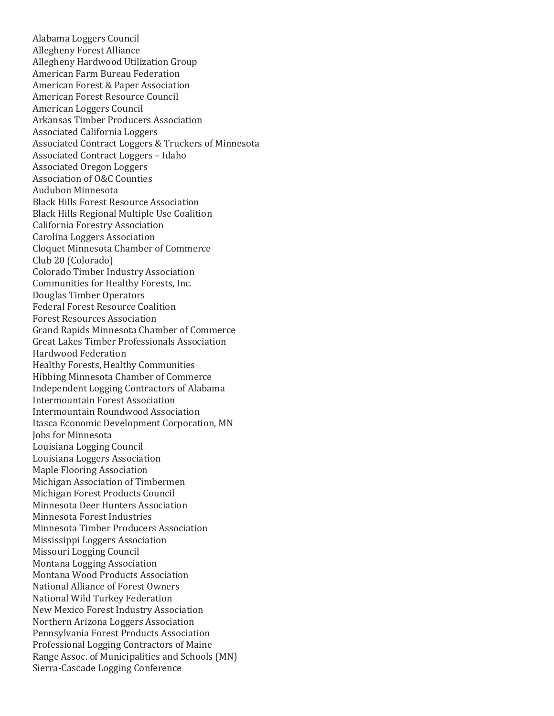Alabama Loggers Council Allegheny Forest Alliance Allegheny Hardwood Utilization Group American Farm Bureau Federation American Forest & Paper Association American Forest Resource Council American Loggers Council Arkansas Timber Producers Association Associated California Loggers Associated Contract Loggers & Truckers of Minnesota Associated Contract Loggers – Idaho Associated Oregon Loggers Association of O&C Counties Audubon Minnesota Black Hills Forest Resource Association Black Hills Regional Multiple Use Coalition California Forestry Association Carolina Loggers Association Cloquet Minnesota Chamber of Commerce Club 20 (Colorado) Colorado Timber Industry Association Communities for Healthy Forests, Inc. Douglas Timber Operators Federal Forest Resource Coalition Forest Resources Association Grand Rapids Minnesota Chamber of Commerce Great Lakes Timber Professionals Association Hardwood Federation Healthy Forests, Healthy Communities Hibbing Minnesota Chamber of Commerce Independent Logging Contractors of Alabama Intermountain Forest Association Intermountain Roundwood Association Itasca Economic Development Corporation, MN Jobs for Minnesota Louisiana Logging Council Louisiana Loggers Association Maple Flooring Association Michigan Association of Timbermen Michigan Forest Products Council Minnesota Deer Hunters Association Minnesota Forest Industries Minnesota Timber Producers Association Mississippi Loggers Association Missouri Logging Council Montana Logging Association Montana Wood Products Association National Alliance of Forest Owners National Wild Turkey Federation New Mexico Forest Industry Association Northern Arizona Loggers Association Pennsylvania Forest Products Association Professional Logging Contractors of Maine Range Assoc. of Municipalities and Schools (MN) Sierra-Cascade Logging Conference